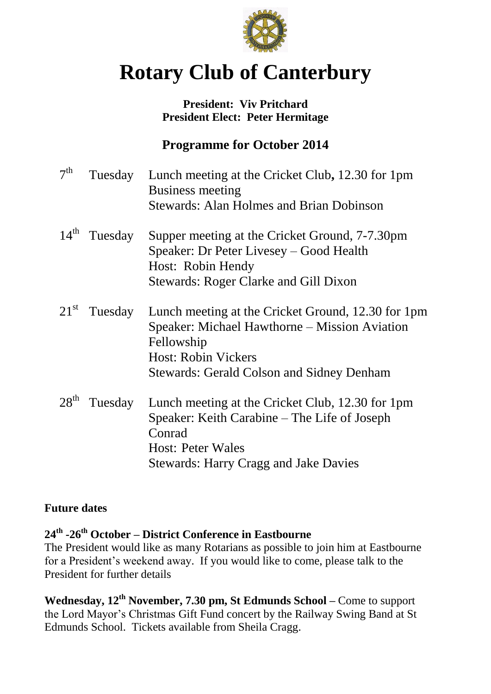

# **Rotary Club of Canterbury**

#### **President: Viv Pritchard President Elect: Peter Hermitage**

## **Programme for October 2014**

| 7 <sup>th</sup>  | Tuesday                  | Lunch meeting at the Cricket Club, 12.30 for 1pm<br><b>Business meeting</b> |
|------------------|--------------------------|-----------------------------------------------------------------------------|
|                  |                          | <b>Stewards: Alan Holmes and Brian Dobinson</b>                             |
|                  | $14^{\text{th}}$ Tuesday | Supper meeting at the Cricket Ground, 7-7.30pm                              |
|                  |                          | Speaker: Dr Peter Livesey – Good Health                                     |
|                  |                          | Host: Robin Hendy                                                           |
|                  |                          | <b>Stewards: Roger Clarke and Gill Dixon</b>                                |
|                  | $21st$ Tuesday           | Lunch meeting at the Cricket Ground, 12.30 for 1pm                          |
|                  |                          | Speaker: Michael Hawthorne – Mission Aviation                               |
|                  |                          | Fellowship                                                                  |
|                  |                          | <b>Host: Robin Vickers</b>                                                  |
|                  |                          | <b>Stewards: Gerald Colson and Sidney Denham</b>                            |
| 28 <sup>th</sup> | Tuesday                  | Lunch meeting at the Cricket Club, 12.30 for 1pm                            |
|                  |                          | Speaker: Keith Carabine – The Life of Joseph                                |
|                  |                          | Conrad                                                                      |
|                  |                          | <b>Host: Peter Wales</b>                                                    |
|                  |                          | <b>Stewards: Harry Cragg and Jake Davies</b>                                |

#### **Future dates**

### **24th -26th October – District Conference in Eastbourne**

The President would like as many Rotarians as possible to join him at Eastbourne for a President's weekend away. If you would like to come, please talk to the President for further details

**Wednesday, 12th November, 7.30 pm, St Edmunds School –** Come to support the Lord Mayor's Christmas Gift Fund concert by the Railway Swing Band at St Edmunds School. Tickets available from Sheila Cragg.